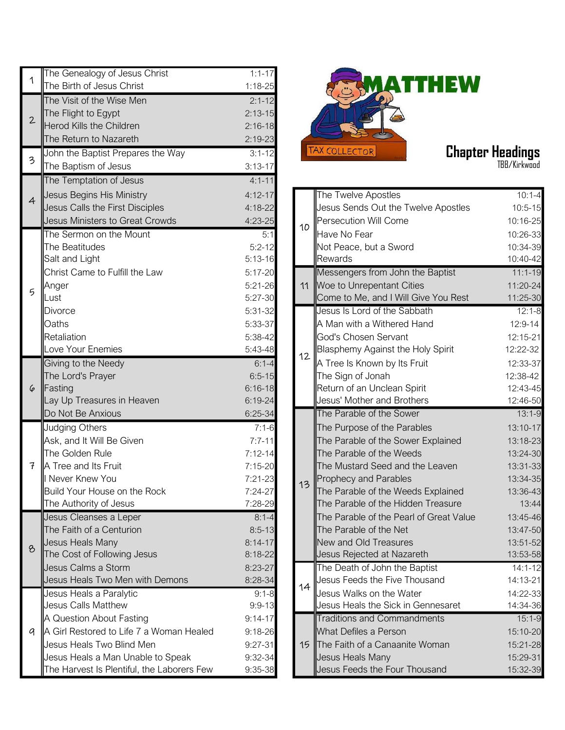| 1              | The Genealogy of Jesus Christ                    | $1:1 - 17$             |
|----------------|--------------------------------------------------|------------------------|
|                | The Birth of Jesus Christ                        | $1:18-25$              |
| $\overline{2}$ | The Visit of the Wise Men                        | $2:1 - 12$             |
|                | The Flight to Egypt                              | $2:13 - 15$            |
|                | Herod Kills the Children                         | $2:16-18$              |
|                | The Return to Nazareth                           | $2:19-23$              |
| 3              | John the Baptist Prepares the Way                | $3:1 - 12$             |
|                | The Baptism of Jesus                             | $3:13 - 17$            |
| 4              | The Temptation of Jesus                          | $4:1 - 11$             |
|                | Jesus Begins His Ministry                        | $4:12 - 17$            |
|                | Jesus Calls the First Disciples                  | $4:18-22$              |
|                | Jesus Ministers to Great Crowds                  | $4:23 - 25$            |
|                | The Sermon on the Mount                          | 5:1                    |
|                | The Beatitudes                                   | $5:2 - 12$             |
|                | Salt and Light                                   | $5:13 - 16$            |
|                | Christ Came to Fulfill the Law                   | $5:17 - 20$            |
| 5              | Anger<br>Lust                                    | $5:21-26$<br>$5:27-30$ |
|                | Divorce                                          | 5:31-32                |
|                | Oaths                                            | 5:33-37                |
|                | Retaliation                                      | $5:38-42$              |
|                | Love Your Enemies                                | 5:43-48                |
|                | Giving to the Needy                              | $6:1 - 4$              |
|                | The Lord's Prayer                                | $6:5 - 15$             |
| 6              | Fasting                                          | $6:16 - 18$            |
|                | Lay Up Treasures in Heaven                       | $6:19-24$              |
|                | Do Not Be Anxious                                | $6:25 - 34$            |
|                | <b>Judging Others</b>                            | $7:1-6$                |
|                | Ask, and It Will Be Given                        | $7:7 - 11$             |
|                | The Golden Rule                                  | $7:12 - 14$            |
| 7              | A Tree and Its Fruit                             | $7:15 - 20$            |
|                | I Never Knew You<br>Build Your House on the Rock | 7:21-23                |
|                | The Authority of Jesus                           | 7:24-27<br>7:28-29     |
|                | Jesus Cleanses a Leper                           | $8:1 - 4$              |
|                | The Faith of a Centurion                         | $8:5 - 13$             |
| 8              | Jesus Heals Many                                 | $8:14-17$              |
|                | The Cost of Following Jesus                      | $8:18-22$              |
|                | Jesus Calms a Storm                              | $8:23-27$              |
|                | Jesus Heals Two Men with Demons                  | 8:28-34                |
| q              | Jesus Heals a Paralytic                          | $9:1 - 8$              |
|                | <b>Jesus Calls Matthew</b>                       | $9:9 - 13$             |
|                | A Question About Fasting                         | $9:14-17$              |
|                | A Girl Restored to Life 7 a Woman Healed         | $9:18 - 26$            |
|                | Jesus Heals Two Blind Men                        | $9:27 - 31$            |
|                | Jesus Heals a Man Unable to Speak                | $9:32-34$              |
|                | The Harvest Is Plentiful, the Laborers Few       | 9:35-38                |



Chapter Headings

TBB/Kirkwood

| Jesus Begins His Ministry                  | $4:12 - 17$ |  |                                    | The Twelve Apostles                     | $10:1 - 4$  |
|--------------------------------------------|-------------|--|------------------------------------|-----------------------------------------|-------------|
| Jesus Calls the First Disciples            | 4:18-22     |  |                                    | Jesus Sends Out the Twelve Apostles     | $10:5 - 15$ |
| Jesus Ministers to Great Crowds            | $4:23-25$   |  | 10                                 | Persecution Will Come                   | 10:16-25    |
| The Sermon on the Mount                    | 5:1         |  |                                    | Have No Fear                            | 10:26-33    |
| The Beatitudes                             | $5:2 - 12$  |  |                                    | Not Peace, but a Sword                  | 10:34-39    |
| Salt and Light                             | $5:13 - 16$ |  |                                    | Rewards                                 | 10:40-42    |
| Christ Came to Fulfill the Law             | $5:17 - 20$ |  |                                    | Messengers from John the Baptist        | $11:1 - 19$ |
| Anger                                      | $5:21 - 26$ |  |                                    | 11  Woe to Unrepentant Cities           | 11:20-24    |
| Lust                                       | 5:27-30     |  |                                    | Come to Me, and I Will Give You Rest    | 11:25-30    |
| Divorce                                    | 5:31-32     |  |                                    | Jesus Is Lord of the Sabbath            | $12:1 - 8$  |
| Oaths                                      | 5:33-37     |  |                                    | A Man with a Withered Hand              | 12:9-14     |
| Retaliation                                | 5:38-42     |  |                                    | God's Chosen Servant                    | 12:15-21    |
| Love Your Enemies                          | 5:43-48     |  | 12                                 | Blasphemy Against the Holy Spirit       | 12:22-32    |
| Giving to the Needy                        | $6:1 - 4$   |  |                                    | A Tree Is Known by Its Fruit            | 12:33-37    |
| The Lord's Prayer                          | $6:5 - 15$  |  |                                    | The Sign of Jonah                       | 12:38-42    |
| Fasting                                    | $6:16 - 18$ |  |                                    | Return of an Unclean Spirit             | 12:43-45    |
| Lay Up Treasures in Heaven                 | $6:19-24$   |  |                                    | Jesus' Mother and Brothers              | 12:46-50    |
| Do Not Be Anxious                          | $6:25-34$   |  |                                    | The Parable of the Sower                | $13:1 - 9$  |
| Judging Others                             | $7:1-6$     |  |                                    | The Purpose of the Parables             | 13:10-17    |
| Ask, and It Will Be Given                  | $7:7 - 11$  |  |                                    | The Parable of the Sower Explained      | 13:18-23    |
| The Golden Rule                            | $7:12 - 14$ |  |                                    | The Parable of the Weeds                | 13:24-30    |
| A Tree and Its Fruit                       | $7:15 - 20$ |  |                                    | The Mustard Seed and the Leaven         | 13:31-33    |
| I Never Knew You                           | 7:21-23     |  | 13                                 | Prophecy and Parables                   | 13:34-35    |
| Build Your House on the Rock               | 7:24-27     |  | The Parable of the Weeds Explained | 13:36-43                                |             |
| The Authority of Jesus                     | 7:28-29     |  |                                    | The Parable of the Hidden Treasure      | 13:44       |
| Jesus Cleanses a Leper                     | $8:1 - 4$   |  |                                    | The Parable of the Pearl of Great Value | 13:45-46    |
| The Faith of a Centurion                   | $8:5 - 13$  |  |                                    | The Parable of the Net                  | 13:47-50    |
| Jesus Heals Many                           | $8:14-17$   |  |                                    | New and Old Treasures                   | 13:51-52    |
| The Cost of Following Jesus                | $8:18-22$   |  |                                    | Jesus Rejected at Nazareth              | 13:53-58    |
| Jesus Calms a Storm                        | $8:23-27$   |  |                                    | The Death of John the Baptist           | $14:1 - 12$ |
| Jesus Heals Two Men with Demons            | 8:28-34     |  | 14                                 | Jesus Feeds the Five Thousand           | 14:13-21    |
| Jesus Heals a Paralytic                    | $9:1 - 8$   |  |                                    | Jesus Walks on the Water                | 14:22-33    |
| <b>Jesus Calls Matthew</b>                 | $9:9 - 13$  |  |                                    | Jesus Heals the Sick in Gennesaret      | 14:34-36    |
| A Question About Fasting                   | $9:14 - 17$ |  |                                    | <b>Traditions and Commandments</b>      | $15:1-9$    |
| A Girl Restored to Life 7 a Woman Healed   | $9:18 - 26$ |  |                                    | What Defiles a Person                   | 15:10-20    |
| Jesus Heals Two Blind Men                  | $9:27-31$   |  |                                    | 15 The Faith of a Canaanite Woman       | 15:21-28    |
| Jesus Heals a Man Unable to Speak          | 9:32-34     |  |                                    | Jesus Heals Many                        | 15:29-31    |
| The Harvest Is Plentiful, the Laborers Few | 9:35-38     |  |                                    | Jesus Feeds the Four Thousand           | 15:32-39    |
|                                            |             |  |                                    |                                         |             |